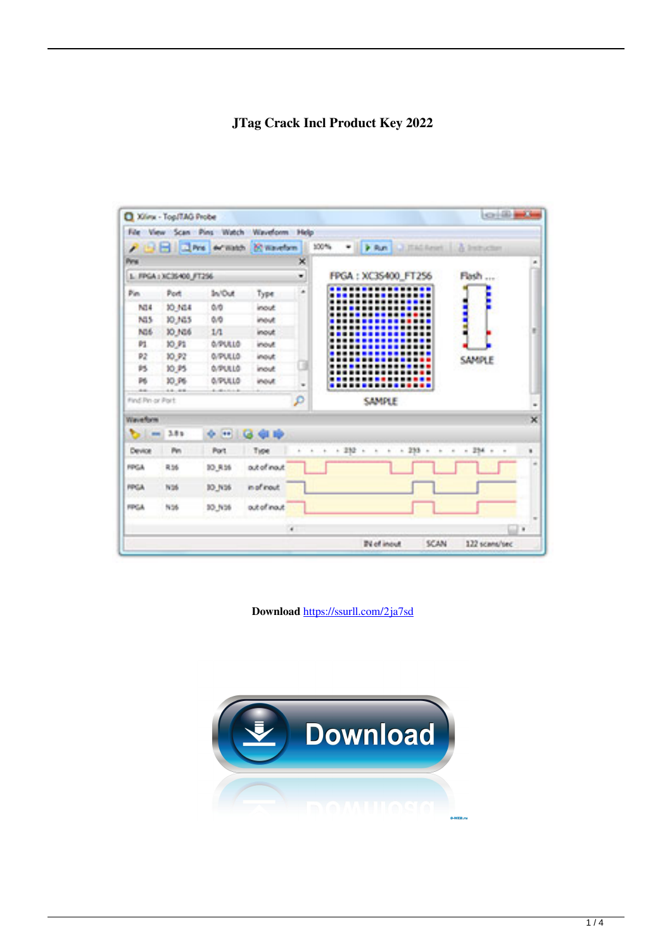# JTag Crack Incl Product Key 2022

| <b>Film</b><br>Æ                  | <b>New Scan Pine</b><br><b>Call Prio</b> | Watch<br>definishes.   | Waydoon Help<br><b>Consertion</b> |      | 100%<br>ig.<br><b>P. Run</b><br>A.J.T.M.Read: 11 & Induction                                              |
|-----------------------------------|------------------------------------------|------------------------|-----------------------------------|------|-----------------------------------------------------------------------------------------------------------|
| Pes                               |                                          |                        |                                   | 冥    |                                                                                                           |
| 1. FRGA / XC35400_FT256           |                                          |                        |                                   | w.   | FRGA: XC35400 FT256<br><b>Firsh</b><br><b>ALCOHOL</b>                                                     |
| Pin.                              | Post                                     | In/Out                 | Type                              | ida. | E                                                                                                         |
| NGA                               | 10,684                                   | 0.01                   | <b>Incut</b>                      |      | 1                                                                                                         |
| 803                               | 10,103                                   | 0.03                   | immut.                            |      | Ì                                                                                                         |
| <b>NOS</b>                        | 10,165                                   | 10                     | <b>Incut</b>                      |      | Ē                                                                                                         |
| 繭                                 | <b>10.P1</b>                             | <b>G/PULLS</b>         | introd.                           |      |                                                                                                           |
| 変計                                | 30.92                                    | 0.91810                | inout:                            |      | SAMPLE                                                                                                    |
| 95.                               | 10,95                                    | 在学校現在                  | <b>Indust</b>                     |      |                                                                                                           |
| B6                                | 30 PS                                    | 点作に注上点                 | inout                             | îн.  |                                                                                                           |
| <b>Street</b><br>Find Pri or Port | $-0.01 - 0.01$                           | Automatical Assessment |                                   | p    | <b>SAMPLE</b>                                                                                             |
| Wasan Roma                        |                                          |                        |                                   |      |                                                                                                           |
| $\overline{\phantom{a}}$          | 3.8%                                     | ÷<br><b>STE</b>        | ài rò                             |      |                                                                                                           |
| Device                            | Per-                                     | <b>Port</b>            | Tuce                              |      | $+1282$ +<br>$-288$<br>$-134$<br>à.<br>W.<br>×<br>×.<br>$\bar{a}$<br>$\bar{a}$<br>$\overline{\mathbf{u}}$ |
| <b>REGAL</b>                      | 8,56                                     | 90 R.M                 | out of mout                       |      |                                                                                                           |
| PROJE                             | <b>N36</b>                               | 30 NS6                 | in of inputs                      |      |                                                                                                           |
| <b>FER SAL</b>                    | 5.56                                     | 90 NM                  | out of most                       |      |                                                                                                           |
|                                   |                                          |                        |                                   | ¥.   |                                                                                                           |
|                                   |                                          |                        |                                   |      |                                                                                                           |

Download https://ssurll.com/2ja7sd

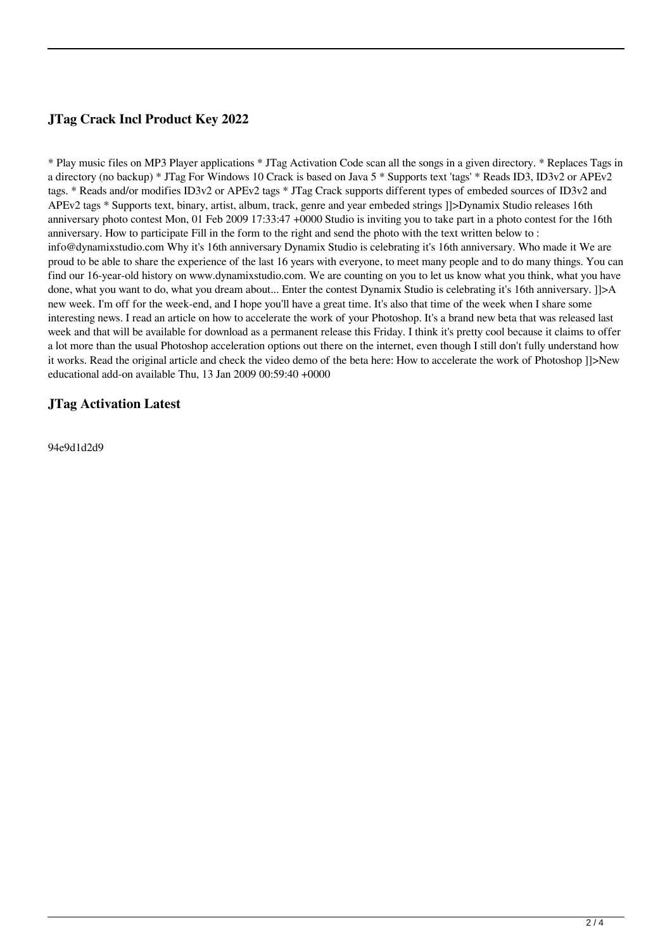# **JTag Crack Incl Product Key 2022**

\* Play music files on MP3 Player applications \* JTag Activation Code scan all the songs in a given directory. \* Replaces Tags in a directory (no backup) \* JTag For Windows 10 Crack is based on Java 5 \* Supports text 'tags' \* Reads ID3, ID3v2 or APEv2 tags. \* Reads and/or modifies ID3v2 or APEv2 tags \* JTag Crack supports different types of embeded sources of ID3v2 and APEv2 tags \* Supports text, binary, artist, album, track, genre and year embeded strings ]]>Dynamix Studio releases 16th anniversary photo contest Mon, 01 Feb 2009 17:33:47 +0000 Studio is inviting you to take part in a photo contest for the 16th anniversary. How to participate Fill in the form to the right and send the photo with the text written below to : info@dynamixstudio.com Why it's 16th anniversary Dynamix Studio is celebrating it's 16th anniversary. Who made it We are proud to be able to share the experience of the last 16 years with everyone, to meet many people and to do many things. You can find our 16-year-old history on www.dynamixstudio.com. We are counting on you to let us know what you think, what you have done, what you want to do, what you dream about... Enter the contest Dynamix Studio is celebrating it's 16th anniversary. []>A new week. I'm off for the week-end, and I hope you'll have a great time. It's also that time of the week when I share some interesting news. I read an article on how to accelerate the work of your Photoshop. It's a brand new beta that was released last week and that will be available for download as a permanent release this Friday. I think it's pretty cool because it claims to offer a lot more than the usual Photoshop acceleration options out there on the internet, even though I still don't fully understand how it works. Read the original article and check the video demo of the beta here: How to accelerate the work of Photoshop ]]>New educational add-on available Thu, 13 Jan 2009 00:59:40 +0000

### **JTag Activation Latest**

94e9d1d2d9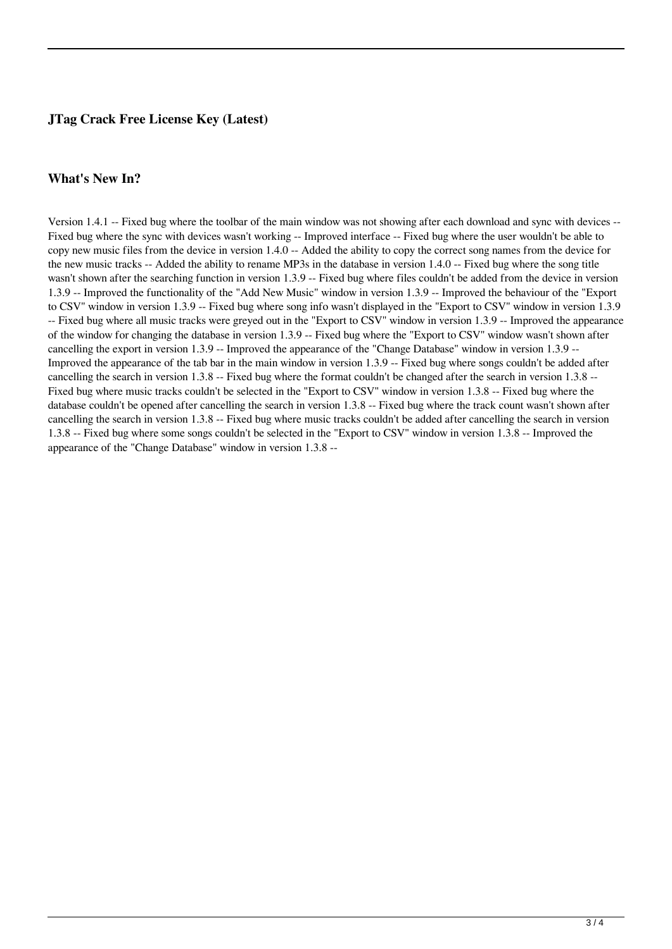## **JTag Crack Free License Key (Latest)**

#### **What's New In?**

Version 1.4.1 -- Fixed bug where the toolbar of the main window was not showing after each download and sync with devices -- Fixed bug where the sync with devices wasn't working -- Improved interface -- Fixed bug where the user wouldn't be able to copy new music files from the device in version 1.4.0 -- Added the ability to copy the correct song names from the device for the new music tracks -- Added the ability to rename MP3s in the database in version 1.4.0 -- Fixed bug where the song title wasn't shown after the searching function in version 1.3.9 -- Fixed bug where files couldn't be added from the device in version 1.3.9 -- Improved the functionality of the "Add New Music" window in version 1.3.9 -- Improved the behaviour of the "Export to CSV" window in version 1.3.9 -- Fixed bug where song info wasn't displayed in the "Export to CSV" window in version 1.3.9 -- Fixed bug where all music tracks were greyed out in the "Export to CSV" window in version 1.3.9 -- Improved the appearance of the window for changing the database in version 1.3.9 -- Fixed bug where the "Export to CSV" window wasn't shown after cancelling the export in version 1.3.9 -- Improved the appearance of the "Change Database" window in version 1.3.9 -- Improved the appearance of the tab bar in the main window in version 1.3.9 -- Fixed bug where songs couldn't be added after cancelling the search in version 1.3.8 -- Fixed bug where the format couldn't be changed after the search in version 1.3.8 -- Fixed bug where music tracks couldn't be selected in the "Export to CSV" window in version 1.3.8 -- Fixed bug where the database couldn't be opened after cancelling the search in version 1.3.8 -- Fixed bug where the track count wasn't shown after cancelling the search in version 1.3.8 -- Fixed bug where music tracks couldn't be added after cancelling the search in version 1.3.8 -- Fixed bug where some songs couldn't be selected in the "Export to CSV" window in version 1.3.8 -- Improved the appearance of the "Change Database" window in version 1.3.8 --